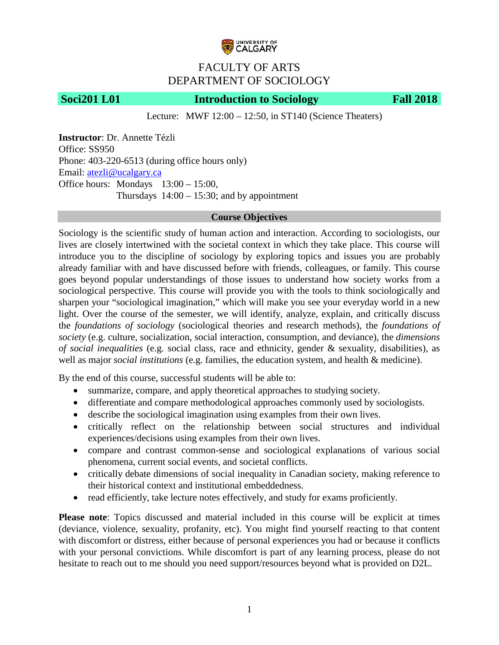

# FACULTY OF ARTS DEPARTMENT OF SOCIOLOGY

# **Soci201 L01 Introduction to Sociology Fall 2018**

Lecture: MWF 12:00 – 12:50, in ST140 (Science Theaters)

**Instructor**: Dr. Annette Tézli Office: SS950 Phone: 403-220-6513 (during office hours only) Email: [atezli@ucalgary.ca](mailto:atezli@ucalgary.ca) Office hours: Mondays 13:00 – 15:00, Thursdays  $14:00 - 15:30$ ; and by appointment

### **Course Objectives**

Sociology is the scientific study of human action and interaction. According to sociologists, our lives are closely intertwined with the societal context in which they take place. This course will introduce you to the discipline of sociology by exploring topics and issues you are probably already familiar with and have discussed before with friends, colleagues, or family. This course goes beyond popular understandings of those issues to understand how society works from a sociological perspective. This course will provide you with the tools to think sociologically and sharpen your "sociological imagination," which will make you see your everyday world in a new light. Over the course of the semester, we will identify, analyze, explain, and critically discuss the *foundations of sociology* (sociological theories and research methods), the *foundations of society* (e.g. culture, socialization, social interaction, consumption, and deviance), the *dimensions of social inequalities* (e.g. social class, race and ethnicity, gender & sexuality, disabilities), as well as major *social institutions* (e.g. families, the education system, and health & medicine).

By the end of this course, successful students will be able to:

- summarize, compare, and apply theoretical approaches to studying society.
- differentiate and compare methodological approaches commonly used by sociologists.
- describe the sociological imagination using examples from their own lives.
- critically reflect on the relationship between social structures and individual experiences/decisions using examples from their own lives.
- compare and contrast common-sense and sociological explanations of various social phenomena, current social events, and societal conflicts.
- critically debate dimensions of social inequality in Canadian society, making reference to their historical context and institutional embeddedness.
- read efficiently, take lecture notes effectively, and study for exams proficiently.

**Please note**: Topics discussed and material included in this course will be explicit at times (deviance, violence, sexuality, profanity, etc). You might find yourself reacting to that content with discomfort or distress, either because of personal experiences you had or because it conflicts with your personal convictions. While discomfort is part of any learning process, please do not hesitate to reach out to me should you need support/resources beyond what is provided on D2L.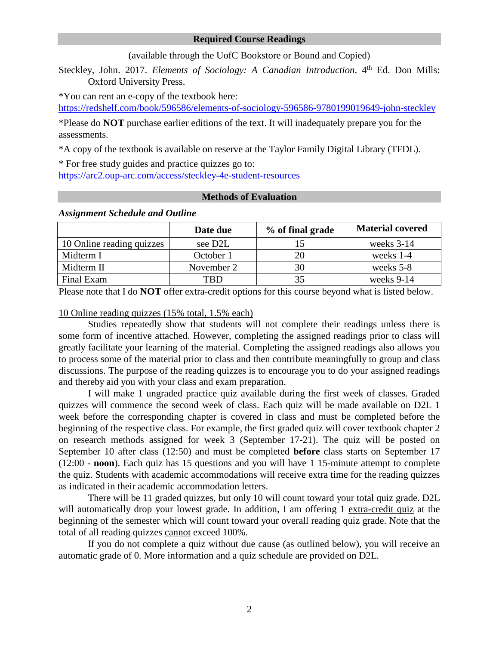#### **Required Course Readings**

(available through the UofC Bookstore or Bound and Copied)

Steckley, John. 2017. *Elements of Sociology: A Canadian Introduction*. 4<sup>th</sup> Ed. Don Mills: Oxford University Press.

\*You can rent an e-copy of the textbook here:

<https://redshelf.com/book/596586/elements-of-sociology-596586-9780199019649-john-steckley>

\*Please do **NOT** purchase earlier editions of the text. It will inadequately prepare you for the assessments.

\*A copy of the textbook is available on reserve at the Taylor Family Digital Library (TFDL).

\* For free study guides and practice quizzes go to: <https://arc2.oup-arc.com/access/steckley-4e-student-resources>

# **Methods of Evaluation**

|                           | Date due   | % of final grade | <b>Material covered</b> |
|---------------------------|------------|------------------|-------------------------|
| 10 Online reading quizzes | see D2L    |                  | weeks $3-14$            |
| Midterm I                 | October 1  |                  | weeks 1-4               |
| Midterm II                | November 2 |                  | weeks 5-8               |
| Final Exam                | TBD.       |                  | weeks 9-14              |

#### *Assignment Schedule and Outline*

Please note that I do **NOT** offer extra-credit options for this course beyond what is listed below.

#### 10 Online reading quizzes (15% total, 1.5% each)

Studies repeatedly show that students will not complete their readings unless there is some form of incentive attached. However, completing the assigned readings prior to class will greatly facilitate your learning of the material. Completing the assigned readings also allows you to process some of the material prior to class and then contribute meaningfully to group and class discussions. The purpose of the reading quizzes is to encourage you to do your assigned readings and thereby aid you with your class and exam preparation.

I will make 1 ungraded practice quiz available during the first week of classes. Graded quizzes will commence the second week of class. Each quiz will be made available on D2L 1 week before the corresponding chapter is covered in class and must be completed before the beginning of the respective class. For example, the first graded quiz will cover textbook chapter 2 on research methods assigned for week 3 (September 17-21). The quiz will be posted on September 10 after class (12:50) and must be completed **before** class starts on September 17 (12:00 - **noon**). Each quiz has 15 questions and you will have 1 15-minute attempt to complete the quiz. Students with academic accommodations will receive extra time for the reading quizzes as indicated in their academic accommodation letters.

There will be 11 graded quizzes, but only 10 will count toward your total quiz grade. D2L will automatically drop your lowest grade. In addition, I am offering 1 extra-credit quiz at the beginning of the semester which will count toward your overall reading quiz grade. Note that the total of all reading quizzes cannot exceed 100%.

If you do not complete a quiz without due cause (as outlined below), you will receive an automatic grade of 0. More information and a quiz schedule are provided on D2L.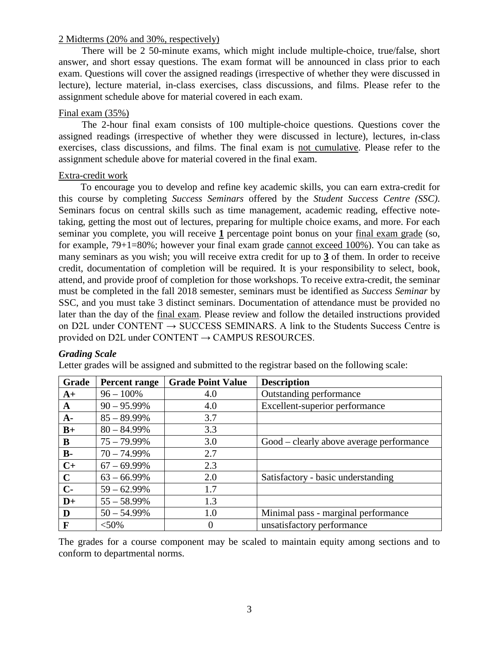### 2 Midterms (20% and 30%, respectively)

There will be 2 50-minute exams, which might include multiple-choice, true/false, short answer, and short essay questions. The exam format will be announced in class prior to each exam. Questions will cover the assigned readings (irrespective of whether they were discussed in lecture), lecture material, in-class exercises, class discussions, and films. Please refer to the assignment schedule above for material covered in each exam.

# Final exam (35%)

The 2-hour final exam consists of 100 multiple-choice questions. Questions cover the assigned readings (irrespective of whether they were discussed in lecture), lectures, in-class exercises, class discussions, and films. The final exam is not cumulative. Please refer to the assignment schedule above for material covered in the final exam.

### Extra-credit work

To encourage you to develop and refine key academic skills, you can earn extra-credit for this course by completing *Success Seminars* offered by the *Student Success Centre (SSC)*. Seminars focus on central skills such as time management, academic reading, effective notetaking, getting the most out of lectures, preparing for multiple choice exams, and more. For each seminar you complete, you will receive **1** percentage point bonus on your final exam grade (so, for example, 79+1=80%; however your final exam grade cannot exceed 100%). You can take as many seminars as you wish; you will receive extra credit for up to **3** of them. In order to receive credit, documentation of completion will be required. It is your responsibility to select, book, attend, and provide proof of completion for those workshops. To receive extra-credit, the seminar must be completed in the fall 2018 semester, seminars must be identified as *Success Seminar* by SSC, and you must take 3 distinct seminars. Documentation of attendance must be provided no later than the day of the final exam. Please review and follow the detailed instructions provided on D2L under CONTENT  $\rightarrow$  SUCCESS SEMINARS. A link to the Students Success Centre is provided on D2L under CONTENT  $\rightarrow$  CAMPUS RESOURCES.

# *Grading Scale*

Letter grades will be assigned and submitted to the registrar based on the following scale:

| <b>Grade</b> | Percent range  | <b>Grade Point Value</b> | <b>Description</b>                       |
|--------------|----------------|--------------------------|------------------------------------------|
| $A+$         | $96 - 100\%$   | 4.0                      | Outstanding performance                  |
| $\mathbf{A}$ | $90 - 95.99\%$ | 4.0                      | Excellent-superior performance           |
| $A-$         | $85 - 89.99\%$ | 3.7                      |                                          |
| $B+$         | $80 - 84.99\%$ | 3.3                      |                                          |
| B            | $75 - 79.99\%$ | 3.0                      | Good – clearly above average performance |
| $B -$        | $70 - 74.99\%$ | 2.7                      |                                          |
| $C+$         | $67 - 69.99\%$ | 2.3                      |                                          |
| $\mathbf C$  | $63 - 66.99\%$ | 2.0                      | Satisfactory - basic understanding       |
| $C-$         | $59 - 62.99\%$ | 1.7                      |                                          |
| $D+$         | $55 - 58.99\%$ | 1.3                      |                                          |
| D            | $50 - 54.99\%$ | 1.0                      | Minimal pass - marginal performance      |
| $\mathbf F$  | $< 50\%$       | $\theta$                 | unsatisfactory performance               |

The grades for a course component may be scaled to maintain equity among sections and to conform to departmental norms.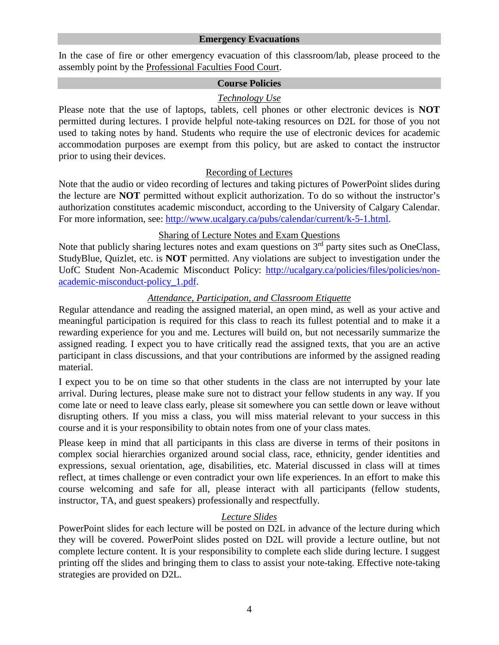#### **Emergency Evacuations**

In the case of fire or other emergency evacuation of this classroom/lab, please proceed to the assembly point by the Professional Faculties Food Court.

### **Course Policies**

# *Technology Use*

Please note that the use of laptops, tablets, cell phones or other electronic devices is **NOT** permitted during lectures. I provide helpful note-taking resources on D2L for those of you not used to taking notes by hand. Students who require the use of electronic devices for academic accommodation purposes are exempt from this policy, but are asked to contact the instructor prior to using their devices.

# Recording of Lectures

Note that the audio or video recording of lectures and taking pictures of PowerPoint slides during the lecture are **NOT** permitted without explicit authorization. To do so without the instructor's authorization constitutes academic misconduct, according to the University of Calgary Calendar. For more information, see: [http://www.ucalgary.ca/pubs/calendar/current/k-5-1.html.](http://www.ucalgary.ca/pubs/calendar/current/k-5-1.html)

# Sharing of Lecture Notes and Exam Questions

Note that publicly sharing lectures notes and exam questions on  $3<sup>rd</sup>$  party sites such as OneClass, StudyBlue, Quizlet, etc. is **NOT** permitted. Any violations are subject to investigation under the UofC Student Non-Academic Misconduct Policy: [http://ucalgary.ca/policies/files/policies/non](http://ucalgary.ca/policies/files/policies/non-academic-misconduct-policy_1.pdf)[academic-misconduct-policy\\_1.pdf.](http://ucalgary.ca/policies/files/policies/non-academic-misconduct-policy_1.pdf)

# *Attendance, Participation, and Classroom Etiquette*

Regular attendance and reading the assigned material, an open mind, as well as your active and meaningful participation is required for this class to reach its fullest potential and to make it a rewarding experience for you and me. Lectures will build on, but not necessarily summarize the assigned reading. I expect you to have critically read the assigned texts, that you are an active participant in class discussions, and that your contributions are informed by the assigned reading material.

I expect you to be on time so that other students in the class are not interrupted by your late arrival. During lectures, please make sure not to distract your fellow students in any way. If you come late or need to leave class early, please sit somewhere you can settle down or leave without disrupting others. If you miss a class, you will miss material relevant to your success in this course and it is your responsibility to obtain notes from one of your class mates.

Please keep in mind that all participants in this class are diverse in terms of their positons in complex social hierarchies organized around social class, race, ethnicity, gender identities and expressions, sexual orientation, age, disabilities, etc. Material discussed in class will at times reflect, at times challenge or even contradict your own life experiences. In an effort to make this course welcoming and safe for all, please interact with all participants (fellow students, instructor, TA, and guest speakers) professionally and respectfully.

# *Lecture Slides*

PowerPoint slides for each lecture will be posted on D2L in advance of the lecture during which they will be covered. PowerPoint slides posted on D2L will provide a lecture outline, but not complete lecture content. It is your responsibility to complete each slide during lecture. I suggest printing off the slides and bringing them to class to assist your note-taking. Effective note-taking strategies are provided on D2L.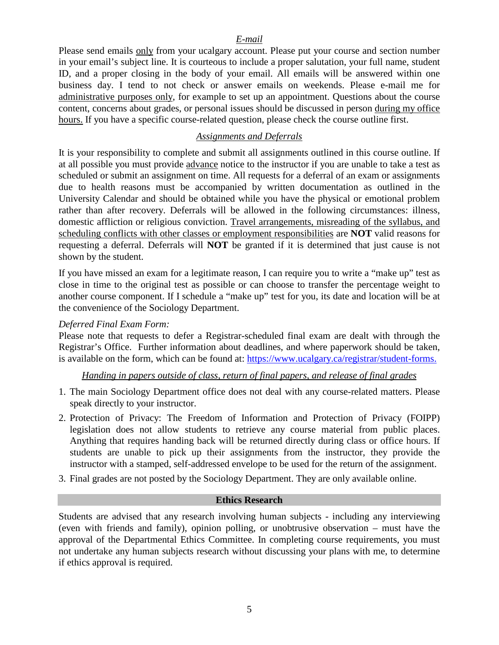# *E-mail*

Please send emails only from your ucalgary account. Please put your course and section number in your email's subject line. It is courteous to include a proper salutation, your full name, student ID, and a proper closing in the body of your email. All emails will be answered within one business day. I tend to not check or answer emails on weekends. Please e-mail me for administrative purposes only, for example to set up an appointment. Questions about the course content, concerns about grades, or personal issues should be discussed in person during my office hours. If you have a specific course-related question, please check the course outline first.

# *Assignments and Deferrals*

It is your responsibility to complete and submit all assignments outlined in this course outline. If at all possible you must provide advance notice to the instructor if you are unable to take a test as scheduled or submit an assignment on time. All requests for a deferral of an exam or assignments due to health reasons must be accompanied by written documentation as outlined in the University Calendar and should be obtained while you have the physical or emotional problem rather than after recovery. Deferrals will be allowed in the following circumstances: illness, domestic affliction or religious conviction. Travel arrangements, misreading of the syllabus, and scheduling conflicts with other classes or employment responsibilities are **NOT** valid reasons for requesting a deferral. Deferrals will **NOT** be granted if it is determined that just cause is not shown by the student.

If you have missed an exam for a legitimate reason, I can require you to write a "make up" test as close in time to the original test as possible or can choose to transfer the percentage weight to another course component. If I schedule a "make up" test for you, its date and location will be at the convenience of the Sociology Department.

# *Deferred Final Exam Form:*

Please note that requests to defer a Registrar-scheduled final exam are dealt with through the Registrar's Office. Further information about deadlines, and where paperwork should be taken, is available on the form, which can be found at: [https://www.ucalgary.ca/registrar/student-forms.](https://www.ucalgary.ca/registrar/student-forms)

# *Handing in papers outside of class, return of final papers, and release of final grades*

- 1. The main Sociology Department office does not deal with any course-related matters. Please speak directly to your instructor.
- 2. Protection of Privacy: The Freedom of Information and Protection of Privacy (FOIPP) legislation does not allow students to retrieve any course material from public places. Anything that requires handing back will be returned directly during class or office hours. If students are unable to pick up their assignments from the instructor, they provide the instructor with a stamped, self-addressed envelope to be used for the return of the assignment.
- 3. Final grades are not posted by the Sociology Department. They are only available online.

#### **Ethics Research**

Students are advised that any research involving human subjects - including any interviewing (even with friends and family), opinion polling, or unobtrusive observation – must have the approval of the Departmental Ethics Committee. In completing course requirements, you must not undertake any human subjects research without discussing your plans with me, to determine if ethics approval is required.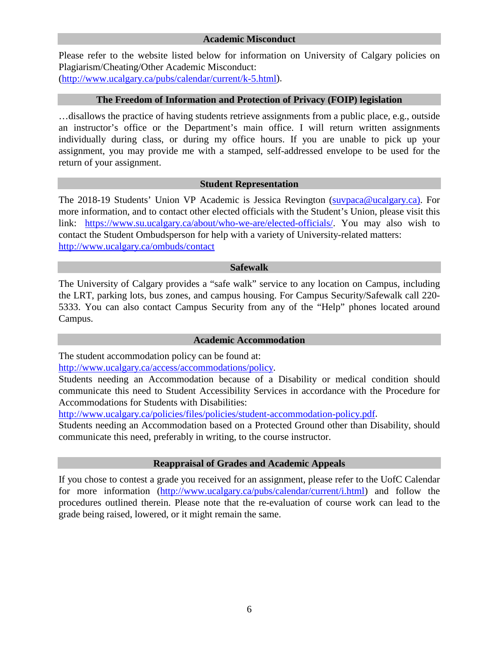Please refer to the website listed below for information on University of Calgary policies on Plagiarism/Cheating/Other Academic Misconduct: [\(http://www.ucalgary.ca/pubs/calendar/current/k-5.html\)](http://www.ucalgary.ca/pubs/calendar/current/k-5.html).

### **The Freedom of Information and Protection of Privacy (FOIP) legislation**

…disallows the practice of having students retrieve assignments from a public place, e.g., outside an instructor's office or the Department's main office. I will return written assignments individually during class, or during my office hours. If you are unable to pick up your assignment, you may provide me with a stamped, self-addressed envelope to be used for the return of your assignment.

# **Student Representation**

The 2018-19 Students' Union VP Academic is Jessica Revington [\(suvpaca@ucalgary.ca\)](mailto:suvpaca@ucalgary.ca). For more information, and to contact other elected officials with the Student's Union, please visit this link: [https://www.su.ucalgary.ca/about/who-we-are/elected-officials/.](https://www.su.ucalgary.ca/about/who-we-are/elected-officials/) You may also wish to contact the Student Ombudsperson for help with a variety of University-related matters: <http://www.ucalgary.ca/ombuds/contact>

#### **Safewalk**

The University of Calgary provides a "safe walk" service to any location on Campus, including the LRT, parking lots, bus zones, and campus housing. For Campus Security/Safewalk call 220- 5333. You can also contact Campus Security from any of the "Help" phones located around Campus.

#### **Academic Accommodation**

The student accommodation policy can be found at:

[http://www.ucalgary.ca/access/accommodations/policy.](http://www.ucalgary.ca/access/accommodations/policy)

Students needing an Accommodation because of a Disability or medical condition should communicate this need to Student Accessibility Services in accordance with the Procedure for Accommodations for Students with Disabilities:

[http://www.ucalgary.ca/policies/files/policies/student-accommodation-policy.pdf.](http://www.ucalgary.ca/policies/files/policies/student-accommodation-policy.pdf)

Students needing an Accommodation based on a Protected Ground other than Disability, should communicate this need, preferably in writing, to the course instructor.

# **Reappraisal of Grades and Academic Appeals**

If you chose to contest a grade you received for an assignment, please refer to the UofC Calendar for more information [\(http://www.ucalgary.ca/pubs/calendar/current/i.html\)](http://www.ucalgary.ca/pubs/calendar/current/i.html) and follow the procedures outlined therein. Please note that the re-evaluation of course work can lead to the grade being raised, lowered, or it might remain the same.